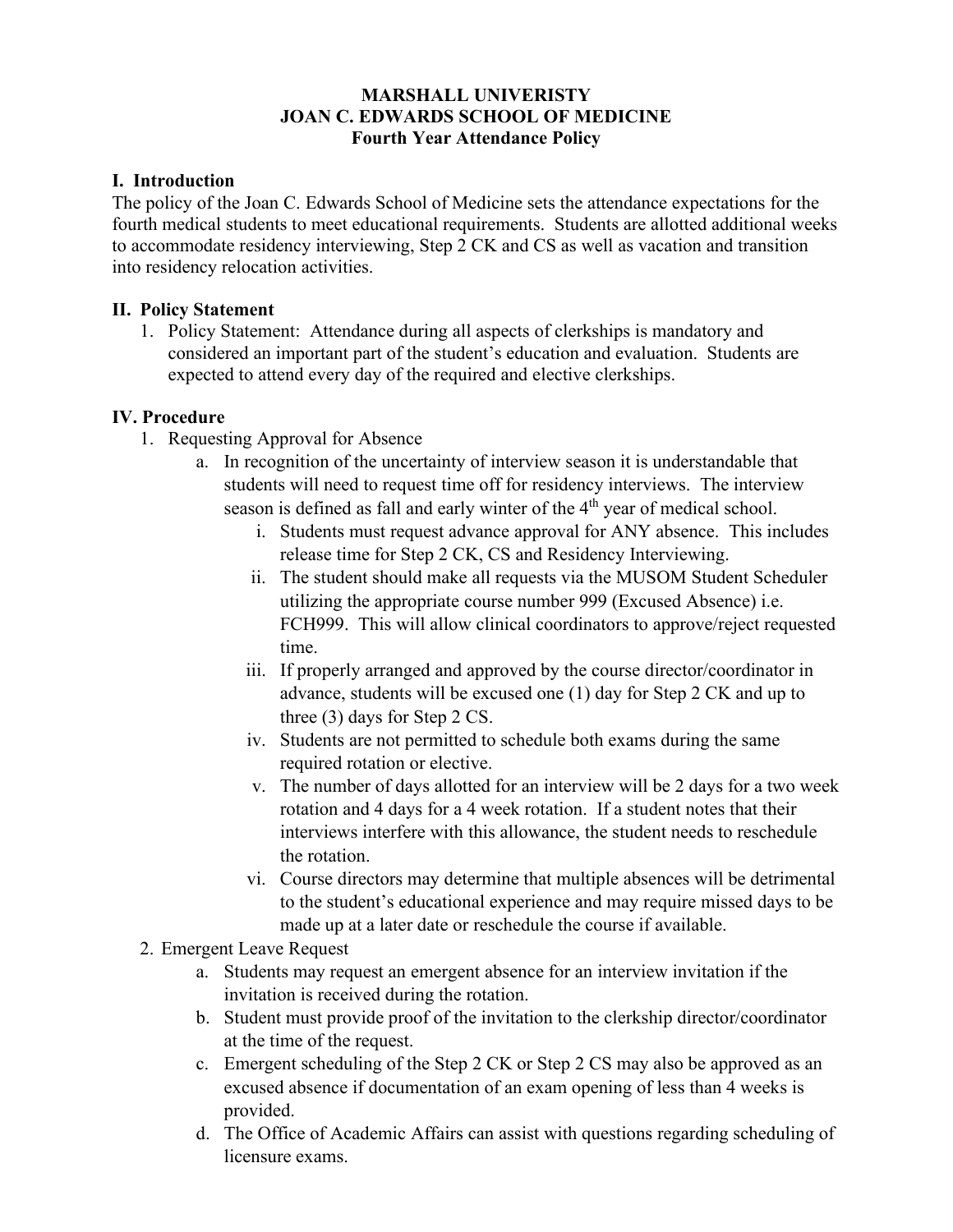## **MARSHALL UNIVERISTY JOAN C. EDWARDS SCHOOL OF MEDICINE Fourth Year Attendance Policy**

## **I. Introduction**

The policy of the Joan C. Edwards School of Medicine sets the attendance expectations for the fourth medical students to meet educational requirements. Students are allotted additional weeks to accommodate residency interviewing, Step 2 CK and CS as well as vacation and transition into residency relocation activities.

## **II. Policy Statement**

1. Policy Statement: Attendance during all aspects of clerkships is mandatory and considered an important part of the student's education and evaluation. Students are expected to attend every day of the required and elective clerkships.

## **IV. Procedure**

- 1. Requesting Approval for Absence
	- a. In recognition of the uncertainty of interview season it is understandable that students will need to request time off for residency interviews. The interview season is defined as fall and early winter of the 4<sup>th</sup> year of medical school.
		- i. Students must request advance approval for ANY absence. This includes release time for Step 2 CK, CS and Residency Interviewing.
		- ii. The student should make all requests via the MUSOM Student Scheduler utilizing the appropriate course number 999 (Excused Absence) i.e. FCH999. This will allow clinical coordinators to approve/reject requested time.
		- iii. If properly arranged and approved by the course director/coordinator in advance, students will be excused one (1) day for Step 2 CK and up to three (3) days for Step 2 CS.
		- iv. Students are not permitted to schedule both exams during the same required rotation or elective.
		- v. The number of days allotted for an interview will be 2 days for a two week rotation and 4 days for a 4 week rotation. If a student notes that their interviews interfere with this allowance, the student needs to reschedule the rotation.
		- vi. Course directors may determine that multiple absences will be detrimental to the student's educational experience and may require missed days to be made up at a later date or reschedule the course if available.
- 2. Emergent Leave Request
	- a. Students may request an emergent absence for an interview invitation if the invitation is received during the rotation.
	- b. Student must provide proof of the invitation to the clerkship director/coordinator at the time of the request.
	- c. Emergent scheduling of the Step 2 CK or Step 2 CS may also be approved as an excused absence if documentation of an exam opening of less than 4 weeks is provided.
	- d. The Office of Academic Affairs can assist with questions regarding scheduling of licensure exams.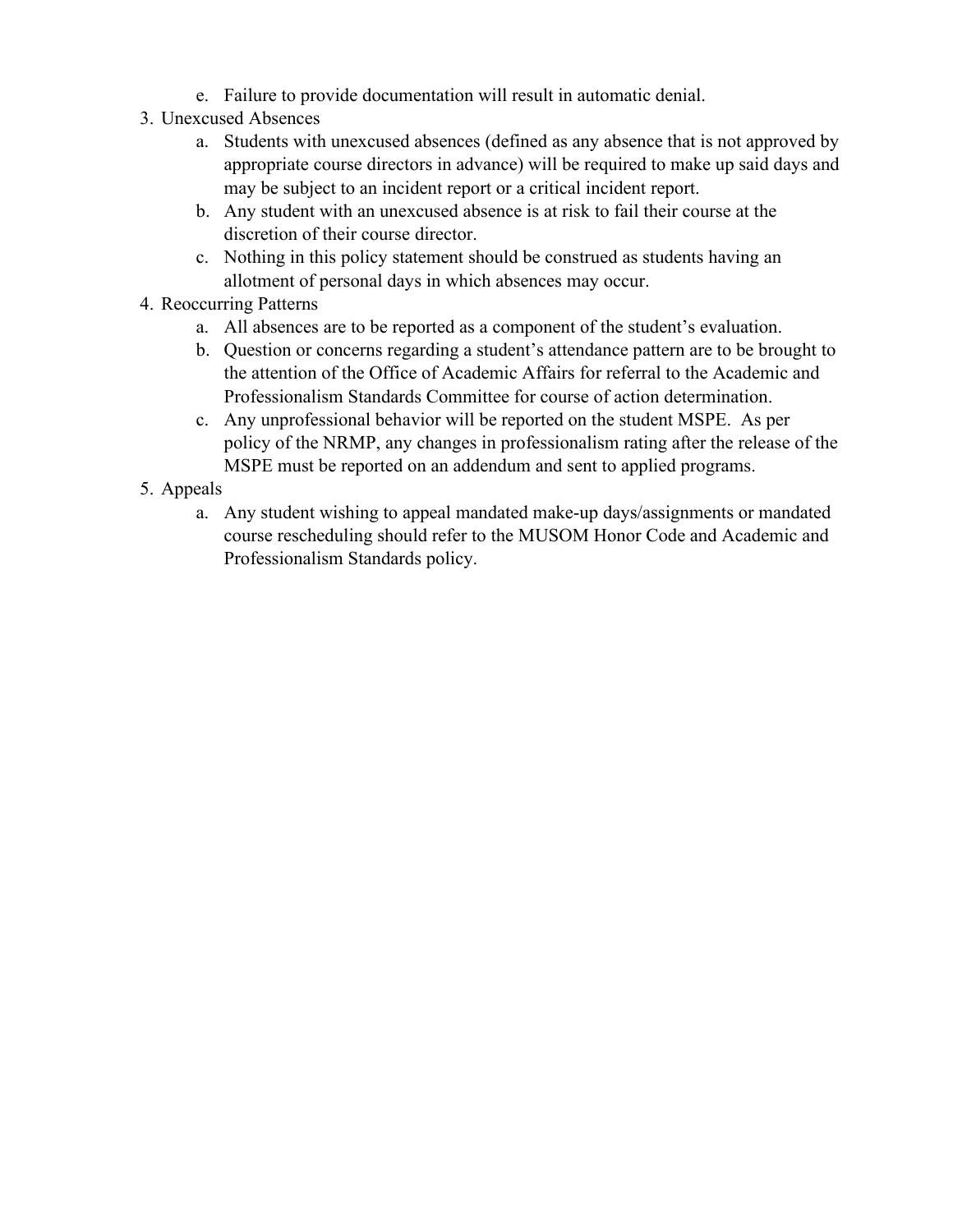- e. Failure to provide documentation will result in automatic denial.
- 3. Unexcused Absences
	- a. Students with unexcused absences (defined as any absence that is not approved by appropriate course directors in advance) will be required to make up said days and may be subject to an incident report or a critical incident report.
	- b. Any student with an unexcused absence is at risk to fail their course at the discretion of their course director.
	- c. Nothing in this policy statement should be construed as students having an allotment of personal days in which absences may occur.
- 4. Reoccurring Patterns
	- a. All absences are to be reported as a component of the student's evaluation.
	- b. Question or concerns regarding a student's attendance pattern are to be brought to the attention of the Office of Academic Affairs for referral to the Academic and Professionalism Standards Committee for course of action determination.
	- c. Any unprofessional behavior will be reported on the student MSPE. As per policy of the NRMP, any changes in professionalism rating after the release of the MSPE must be reported on an addendum and sent to applied programs.
- 5. Appeals
	- a. Any student wishing to appeal mandated make-up days/assignments or mandated course rescheduling should refer to the MUSOM Honor Code and Academic and Professionalism Standards policy.